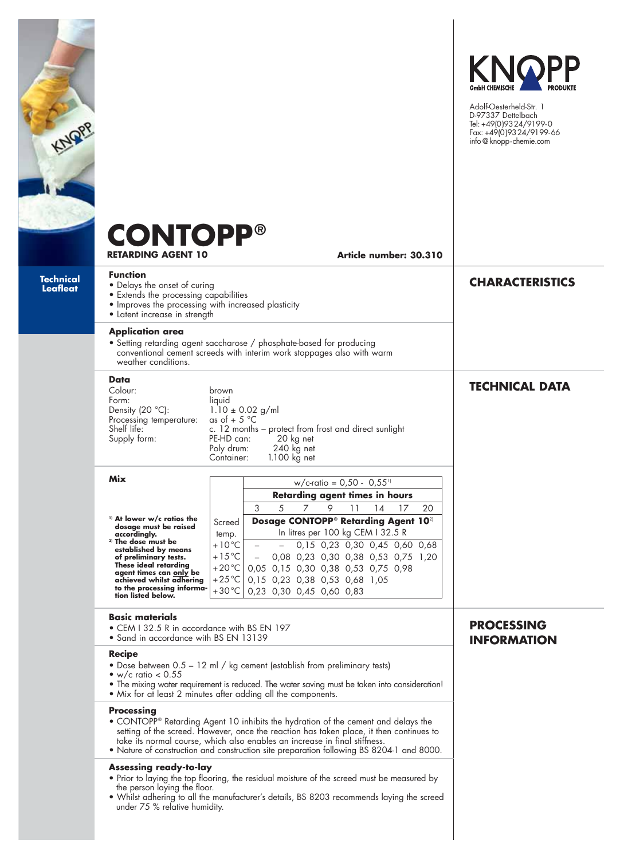| KNQRP                        | <b>CONTOPP®</b><br><b>RETARDING AGENT 10</b>                                                                                                                                                                                                                                                                                                                                | Article number: 30.310                                                                                                                                                                                                                                         | KNOPP<br>Adolf-Oesterheld-Str. 1<br>D-97337 Dettelbach<br>Tel: +49(0)9324/9199-0<br>Fax: +49(0)9324/9199-66<br>info@knopp-chemie.com |
|------------------------------|-----------------------------------------------------------------------------------------------------------------------------------------------------------------------------------------------------------------------------------------------------------------------------------------------------------------------------------------------------------------------------|----------------------------------------------------------------------------------------------------------------------------------------------------------------------------------------------------------------------------------------------------------------|--------------------------------------------------------------------------------------------------------------------------------------|
| Technical<br><b>Leafleat</b> | <b>Function</b><br>• Delays the onset of curing<br>• Extends the processing capabilities<br>• Improves the processing with increased plasticity<br>• Latent increase in strength                                                                                                                                                                                            |                                                                                                                                                                                                                                                                | <b>CHARACTERISTICS</b>                                                                                                               |
|                              | <b>Application area</b><br>• Setting retarding agent saccharose / phosphate-based for producing<br>conventional cement screeds with interim work stoppages also with warm<br>weather conditions.                                                                                                                                                                            |                                                                                                                                                                                                                                                                |                                                                                                                                      |
|                              | Data<br>Colour:<br>brown<br>Form:<br>liquid<br>Density (20 °C):<br>$1.10 \pm 0.02$ g/ml<br>as of $+5$ °C<br>Processing temperature:<br>Shelf life:<br>c. 12 months - protect from frost and direct sunlight<br>Supply form:<br>PE-HD can:<br>20 kg net<br>240 kg net<br>Poly drum:<br>1.100 kg net<br>Container:                                                            |                                                                                                                                                                                                                                                                | <b>TECHNICAL DATA</b>                                                                                                                |
|                              | Mix                                                                                                                                                                                                                                                                                                                                                                         | $w/c$ -ratio = 0,50 - 0,55 <sup>11</sup>                                                                                                                                                                                                                       |                                                                                                                                      |
|                              |                                                                                                                                                                                                                                                                                                                                                                             | <b>Retarding agent times in hours</b>                                                                                                                                                                                                                          |                                                                                                                                      |
|                              | <sup>1)</sup> At lower w/c ratios the                                                                                                                                                                                                                                                                                                                                       | 3<br>5<br>$\overline{7}$<br>9<br>11<br>14<br>17<br>Dosage CONTOPP <sup>®</sup> Retarding Agent 10 <sup>2)</sup>                                                                                                                                                | 20                                                                                                                                   |
|                              | dosage must be raised<br>accordingly.                                                                                                                                                                                                                                                                                                                                       | Screed<br>In litres per 100 kg CEM I 32.5 R<br>temp.                                                                                                                                                                                                           |                                                                                                                                      |
|                              | <sup>2)</sup> The dose must be<br>established by means<br>of preliminary tests.<br>These ideal retarding<br>agent times can only be<br>achieved whilst adhering<br>to the processing informa-<br>tion listed below.                                                                                                                                                         | $+10^{\circ}$ C<br>0,15 0,23 0,30 0,45 0,60 0,68<br>$+15^{\circ}$ C<br>0,08 0,23 0,30 0,38 0,53 0,75 1,20<br>$+20^{\circ}$ C<br>0,05 0,15 0,30 0,38 0,53 0,75 0,98<br>$+25^{\circ}$ C<br>0,15 0,23 0,38 0,53 0,68 1,05<br>+30 °C  <br>0,23 0,30 0,45 0,60 0,83 |                                                                                                                                      |
|                              | <b>Basic materials</b><br>• CEM I 32.5 R in accordance with BS EN 197<br>• Sand in accordance with BS EN 13139                                                                                                                                                                                                                                                              |                                                                                                                                                                                                                                                                | <b>PROCESSING</b><br><b>INFORMATION</b>                                                                                              |
|                              | <b>Recipe</b><br>• Dose between 0.5 - 12 ml / kg cement (establish from preliminary tests)<br>• w/c ratio $< 0.55$<br>• The mixing water requirement is reduced. The water saving must be taken into consideration!<br>• Mix for at least 2 minutes after adding all the components.                                                                                        |                                                                                                                                                                                                                                                                |                                                                                                                                      |
|                              | <b>Processing</b><br>• CONTOPP® Retarding Agent 10 inhibits the hydration of the cement and delays the<br>setting of the screed. However, once the reaction has taken place, it then continues to<br>take its normal course, which also enables an increase in final stiffness.<br>• Nature of construction and construction site preparation following BS 8204-1 and 8000. |                                                                                                                                                                                                                                                                |                                                                                                                                      |
|                              | <b>Assessing ready-to-lay</b><br>the person laying the floor.<br>under 75 % relative humidity.                                                                                                                                                                                                                                                                              | . Prior to laying the top flooring, the residual moisture of the screed must be measured by<br>• Whilst adhering to all the manufacturer's details, BS 8203 recommends laying the screed                                                                       |                                                                                                                                      |